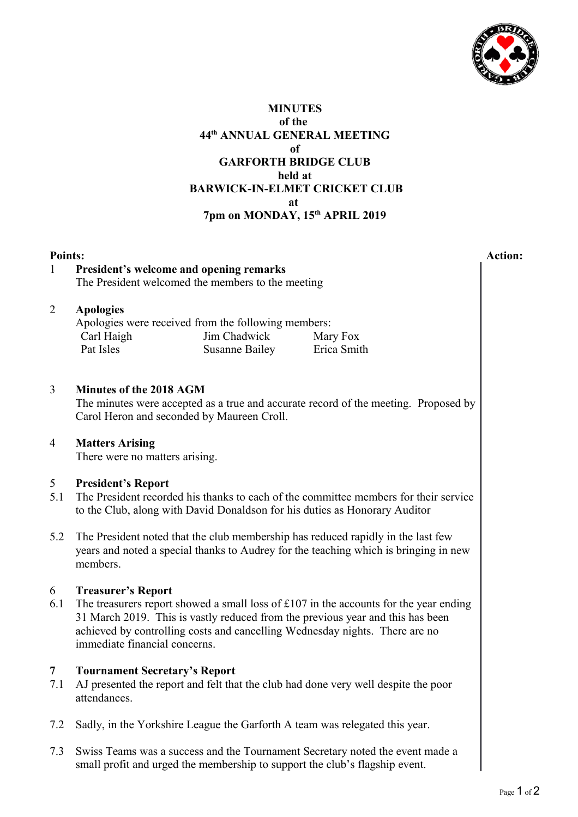

## **MINUTES of the 44th ANNUAL GENERAL MEETING of GARFORTH BRIDGE CLUB held at BARWICK-IN-ELMET CRICKET CLUB at 7pm on MONDAY, 15th APRIL 2019**

# **Points: Action:** 1 **President's welcome and opening remarks**  The President welcomed the members to the meeting 2 **Apologies** Apologies were received from the following members: Carl Haigh Pat Isles Jim Chadwick Susanne Bailey Mary Fox Erica Smith 3 **Minutes of the 2018 AGM**  The minutes were accepted as a true and accurate record of the meeting. Proposed by Carol Heron and seconded by Maureen Croll. 4 **Matters Arising** There were no matters arising. 5 **President's Report** 5.1 The President recorded his thanks to each of the committee members for their service to the Club, along with David Donaldson for his duties as Honorary Auditor 5.2 The President noted that the club membership has reduced rapidly in the last few years and noted a special thanks to Audrey for the teaching which is bringing in new members. 6 **Treasurer's Report** 6.1 The treasurers report showed a small loss of  $\text{\pounds}107$  in the accounts for the year ending 31 March 2019. This is vastly reduced from the previous year and this has been achieved by controlling costs and cancelling Wednesday nights. There are no immediate financial concerns. **7 Tournament Secretary's Report** 7.1 AJ presented the report and felt that the club had done very well despite the poor attendances. 7.2 Sadly, in the Yorkshire League the Garforth A team was relegated this year.

7.3 Swiss Teams was a success and the Tournament Secretary noted the event made a small profit and urged the membership to support the club's flagship event.